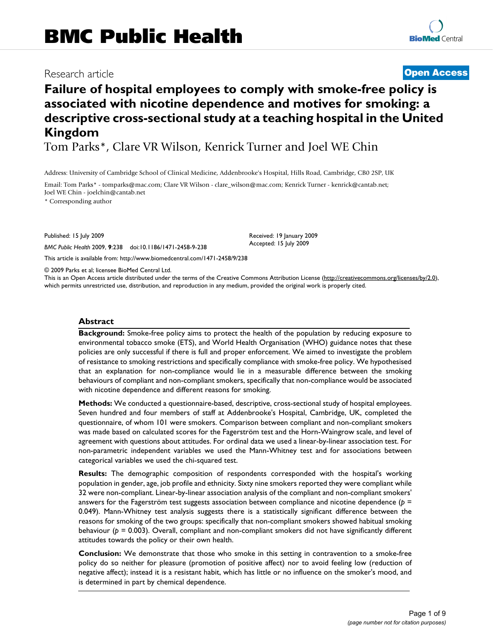# Research article **[Open Access](http://www.biomedcentral.com/info/about/charter/)**

# **Failure of hospital employees to comply with smoke-free policy is associated with nicotine dependence and motives for smoking: a descriptive cross-sectional study at a teaching hospital in the United Kingdom**

Tom Parks\*, Clare VR Wilson, Kenrick Turner and Joel WE Chin

Address: University of Cambridge School of Clinical Medicine, Addenbrooke's Hospital, Hills Road, Cambridge, CB0 2SP, UK

Email: Tom Parks\* - tomparks@mac.com; Clare VR Wilson - clare\_wilson@mac.com; Kenrick Turner - kenrick@cantab.net; Joel WE Chin - joelchin@cantab.net

\* Corresponding author

Published: 15 July 2009

*BMC Public Health* 2009, **9**:238 doi:10.1186/1471-2458-9-238

[This article is available from: http://www.biomedcentral.com/1471-2458/9/238](http://www.biomedcentral.com/1471-2458/9/238)

© 2009 Parks et al; licensee BioMed Central Ltd.

This is an Open Access article distributed under the terms of the Creative Commons Attribution License [\(http://creativecommons.org/licenses/by/2.0\)](http://creativecommons.org/licenses/by/2.0), which permits unrestricted use, distribution, and reproduction in any medium, provided the original work is properly cited.

Received: 19 January 2009 Accepted: 15 July 2009

### **Abstract**

**Background:** Smoke-free policy aims to protect the health of the population by reducing exposure to environmental tobacco smoke (ETS), and World Health Organisation (WHO) guidance notes that these policies are only successful if there is full and proper enforcement. We aimed to investigate the problem of resistance to smoking restrictions and specifically compliance with smoke-free policy. We hypothesised that an explanation for non-compliance would lie in a measurable difference between the smoking behaviours of compliant and non-compliant smokers, specifically that non-compliance would be associated with nicotine dependence and different reasons for smoking.

**Methods:** We conducted a questionnaire-based, descriptive, cross-sectional study of hospital employees. Seven hundred and four members of staff at Addenbrooke's Hospital, Cambridge, UK, completed the questionnaire, of whom 101 were smokers. Comparison between compliant and non-compliant smokers was made based on calculated scores for the Fagerström test and the Horn-Waingrow scale, and level of agreement with questions about attitudes. For ordinal data we used a linear-by-linear association test. For non-parametric independent variables we used the Mann-Whitney test and for associations between categorical variables we used the chi-squared test.

**Results:** The demographic composition of respondents corresponded with the hospital's working population in gender, age, job profile and ethnicity. Sixty nine smokers reported they were compliant while 32 were non-compliant. Linear-by-linear association analysis of the compliant and non-compliant smokers' answers for the Fagerström test suggests association between compliance and nicotine dependence (*p* = 0.049). Mann-Whitney test analysis suggests there is a statistically significant difference between the reasons for smoking of the two groups: specifically that non-compliant smokers showed habitual smoking behaviour (*p* = 0.003). Overall, compliant and non-compliant smokers did not have significantly different attitudes towards the policy or their own health.

**Conclusion:** We demonstrate that those who smoke in this setting in contravention to a smoke-free policy do so neither for pleasure (promotion of positive affect) nor to avoid feeling low (reduction of negative affect); instead it is a resistant habit, which has little or no influence on the smoker's mood, and is determined in part by chemical dependence.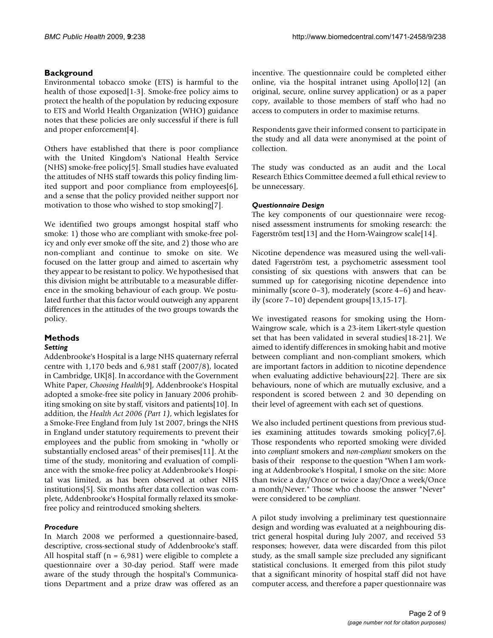# **Background**

Environmental tobacco smoke (ETS) is harmful to the health of those exposed[1-3]. Smoke-free policy aims to protect the health of the population by reducing exposure to ETS and World Health Organization (WHO) guidance notes that these policies are only successful if there is full and proper enforcement[4].

Others have established that there is poor compliance with the United Kingdom's National Health Service (NHS) smoke-free policy[5]. Small studies have evaluated the attitudes of NHS staff towards this policy finding limited support and poor compliance from employees[6], and a sense that the policy provided neither support nor motivation to those who wished to stop smoking[7].

We identified two groups amongst hospital staff who smoke: 1) those who are compliant with smoke-free policy and only ever smoke off the site, and 2) those who are non-compliant and continue to smoke on site. We focused on the latter group and aimed to ascertain why they appear to be resistant to policy. We hypothesised that this division might be attributable to a measurable difference in the smoking behaviour of each group. We postulated further that this factor would outweigh any apparent differences in the attitudes of the two groups towards the policy.

# **Methods**

# *Setting*

Addenbrooke's Hospital is a large NHS quaternary referral centre with 1,170 beds and 6,981 staff (2007/8), located in Cambridge, UK[8]. In accordance with the Government White Paper, *Choosing Health*[9], Addenbrooke's Hospital adopted a smoke-free site policy in January 2006 prohibiting smoking on site by staff, visitors and patients[10]. In addition, the *Health Act 2006 (Part 1)*, which legislates for a Smoke-Free England from July 1st 2007, brings the NHS in England under statutory requirements to prevent their employees and the public from smoking in "wholly or substantially enclosed areas" of their premises[11]. At the time of the study, monitoring and evaluation of compliance with the smoke-free policy at Addenbrooke's Hospital was limited, as has been observed at other NHS institutions[5]. Six months after data collection was complete, Addenbrooke's Hospital formally relaxed its smokefree policy and reintroduced smoking shelters.

# *Procedure*

In March 2008 we performed a questionnaire-based, descriptive, cross-sectional study of Addenbrooke's staff. All hospital staff ( $n = 6,981$ ) were eligible to complete a questionnaire over a 30-day period. Staff were made aware of the study through the hospital's Communications Department and a prize draw was offered as an

incentive. The questionnaire could be completed either online, via the hospital intranet using Apollo[12] (an original, secure, online survey application) or as a paper copy, available to those members of staff who had no access to computers in order to maximise returns.

Respondents gave their informed consent to participate in the study and all data were anonymised at the point of collection.

The study was conducted as an audit and the Local Research Ethics Committee deemed a full ethical review to be unnecessary.

# *Questionnaire Design*

The key components of our questionnaire were recognised assessment instruments for smoking research: the Fagerström test[13] and the Horn-Waingrow scale[14].

Nicotine dependence was measured using the well-validated Fagerström test, a psychometric assessment tool consisting of six questions with answers that can be summed up for categorising nicotine dependence into minimally (score 0–3), moderately (score 4–6) and heavily (score 7–10) dependent groups[13,15-17].

We investigated reasons for smoking using the Horn-Waingrow scale, which is a 23-item Likert-style question set that has been validated in several studies[18-21]. We aimed to identify differences in smoking habit and motive between compliant and non-compliant smokers, which are important factors in addition to nicotine dependence when evaluating addictive behaviours[22]. There are six behaviours, none of which are mutually exclusive, and a respondent is scored between 2 and 30 depending on their level of agreement with each set of questions.

We also included pertinent questions from previous studies examining attitudes towards smoking policy[7,6]. Those respondents who reported smoking were divided into *compliant* smokers and *non-compliant* smokers on the basis of their response to the question "When I am working at Addenbrooke's Hospital, I smoke on the site: More than twice a day/Once or twice a day/Once a week/Once a month/Never." Those who choose the answer "Never" were considered to be *compliant*.

A pilot study involving a preliminary test questionnaire design and wording was evaluated at a neighbouring district general hospital during July 2007, and received 53 responses; however, data were discarded from this pilot study, as the small sample size precluded any significant statistical conclusions. It emerged from this pilot study that a significant minority of hospital staff did not have computer access, and therefore a paper questionnaire was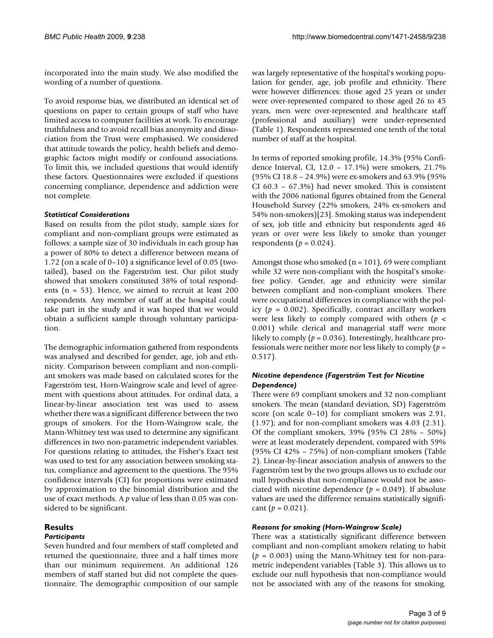incorporated into the main study. We also modified the wording of a number of questions.

To avoid response bias, we distributed an identical set of questions on paper to certain groups of staff who have limited access to computer facilities at work. To encourage truthfulness and to avoid recall bias anonymity and dissociation from the Trust were emphasised. We considered that attitude towards the policy, health beliefs and demographic factors might modify or confound associations. To limit this, we included questions that would identify these factors. Questionnaires were excluded if questions concerning compliance, dependence and addiction were not complete.

# *Statistical Considerations*

Based on results from the pilot study, sample sizes for compliant and non-compliant groups were estimated as follows: a sample size of 30 individuals in each group has a power of 80% to detect a difference between means of 1.72 (on a scale of 0–10) a significance level of 0.05 (twotailed), based on the Fagerström test. Our pilot study showed that smokers constituted 38% of total respondents (n = 53). Hence, we aimed to recruit at least 200 respondents. Any member of staff at the hospital could take part in the study and it was hoped that we would obtain a sufficient sample through voluntary participation.

The demographic information gathered from respondents was analysed and described for gender, age, job and ethnicity. Comparison between compliant and non-compliant smokers was made based on calculated scores for the Fagerström test, Horn-Waingrow scale and level of agreement with questions about attitudes. For ordinal data, a linear-by-linear association test was used to assess whether there was a significant difference between the two groups of smokers. For the Horn-Waingrow scale, the Mann-Whitney test was used to determine any significant differences in two non-parametric independent variables. For questions relating to attitudes, the Fisher's Exact test was used to test for any association between smoking status, compliance and agreement to the questions. The 95% confidence intervals (CI) for proportions were estimated by approximation to the binomial distribution and the use of exact methods. A *p* value of less than 0.05 was considered to be significant.

# **Results**

# *Participants*

Seven hundred and four members of staff completed and returned the questionnaire, three and a half times more than our minimum requirement. An additional 126 members of staff started but did not complete the questionnaire. The demographic composition of our sample was largely representative of the hospital's working population for gender, age, job profile and ethnicity. There were however differences: those aged 25 years or under were over-represented compared to those aged 26 to 45 years, men were over-represented and healthcare staff (professional and auxiliary) were under-represented (Table 1). Respondents represented one tenth of the total number of staff at the hospital.

In terms of reported smoking profile, 14.3% (95% Confidence Interval, CI, 12.0 – 17.1%) were smokers, 21.7% (95% CI 18.8 – 24.9%) were ex-smokers and 63.9% (95% CI 60.3 – 67.3%) had never smoked. This is consistent with the 2006 national figures obtained from the General Household Survey (22% smokers, 24% ex-smokers and 54% non-smokers)[23]. Smoking status was independent of sex, job title and ethnicity but respondents aged 46 years or over were less likely to smoke than younger respondents ( $p = 0.024$ ).

Amongst those who smoked  $(n = 101)$ , 69 were compliant while 32 were non-compliant with the hospital's smokefree policy. Gender, age and ethnicity were similar between compliant and non-compliant smokers. There were occupational differences in compliance with the policy ( $p = 0.002$ ). Specifically, contract ancillary workers were less likely to comply compared with others (*p* < 0.001) while clerical and managerial staff were more likely to comply ( $p = 0.036$ ). Interestingly, healthcare professionals were neither more nor less likely to comply (*p* = 0.517).

# *Nicotine dependence (Fagerström Test for Nicotine Dependence)*

There were 69 compliant smokers and 32 non-compliant smokers. The mean (standard deviation, SD) Fagerström score (on scale 0–10) for compliant smokers was 2.91, (1.97); and for non-compliant smokers was 4.03 (2.31). Of the compliant smokers, 39% (95% CI 28% – 50%) were at least moderately dependent, compared with 59% (95% CI 42% – 75%) of non-compliant smokers (Table 2). Linear-by-linear association analysis of answers to the Fagerström test by the two groups allows us to exclude our null hypothesis that non-compliance would not be associated with nicotine dependence ( $p = 0.049$ ). If absolute values are used the difference remains statistically significant  $(p = 0.021)$ .

# *Reasons for smoking (Horn-Waingrow Scale)*

There was a statistically significant difference between compliant and non-compliant smokers relating to habit (*p* = 0.003) using the Mann-Whitney test for non-parametric independent variables (Table 3). This allows us to exclude our null hypothesis that non-compliance would not be associated with any of the reasons for smoking.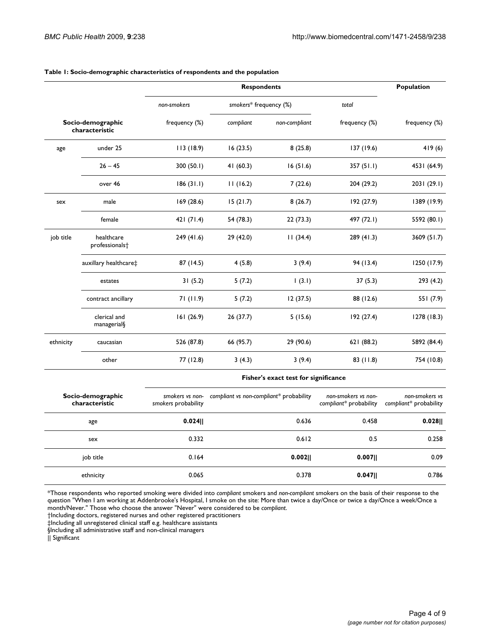|                                     |                                          |                                                | Population                              |               |                                               |                                          |  |
|-------------------------------------|------------------------------------------|------------------------------------------------|-----------------------------------------|---------------|-----------------------------------------------|------------------------------------------|--|
|                                     |                                          | smokers* frequency (%)<br>non-smokers<br>total |                                         |               |                                               |                                          |  |
|                                     | Socio-demographic<br>characteristic      | frequency (%)                                  | compliant                               | non-compliant | frequency (%)                                 | frequency (%)                            |  |
| age                                 | under 25                                 | 113 (18.9)                                     | 16(23.5)                                | 8(25.8)       | 137 (19.6)                                    | 419(6)                                   |  |
|                                     | $26 - 45$                                | 300 (50.1)                                     | 41(60.3)                                | 16(51.6)      | 357(51.1)                                     | 4531 (64.9)                              |  |
|                                     | over 46                                  | 186(31.1)                                      | 11(16.2)                                | 7(22.6)       | 204 (29.2)                                    | 2031 (29.1)                              |  |
| sex                                 | male                                     | 169 (28.6)                                     | 15(21.7)                                | 8(26.7)       | 192 (27.9)                                    | 1389 (19.9)                              |  |
|                                     | female                                   | 421(71.4)                                      | 54 (78.3)                               | 22(73.3)      | 497 (72.1)                                    | 5592 (80.1)                              |  |
| job title                           | healthcare<br>professionals <sup>+</sup> | 249 (41.6)                                     | 29 (42.0)                               | 11(34.4)      | 289 (41.3)                                    | 3609 (51.7)                              |  |
|                                     | auxillary healthcare‡                    | 87 (14.5)                                      | 4(5.8)                                  | 3(9.4)        | 94 (13.4)                                     | 1250 (17.9)                              |  |
|                                     | estates                                  | 31(5.2)                                        | 5(7.2)                                  | (3.1)         | 37(5.3)                                       | 293 (4.2)                                |  |
|                                     | contract ancillary                       | 71 (11.9)                                      | 5(7.2)                                  | 12(37.5)      | 88 (12.6)                                     | 551 (7.9)                                |  |
|                                     | clerical and<br>managerial§              | 161(26.9)                                      | 26(37.7)                                | 5(15.6)       | 192(27.4)                                     | 1278 (18.3)                              |  |
| ethnicity                           | caucasian                                | 526 (87.8)                                     | 66 (95.7)                               | 29 (90.6)     | 621 (88.2)                                    | 5892 (84.4)                              |  |
|                                     | other                                    | 77 (12.8)                                      | 3(4.3)                                  | 3(9.4)        | 83 (11.8)                                     | 754 (10.8)                               |  |
|                                     |                                          | Fisher's exact test for significance           |                                         |               |                                               |                                          |  |
| Socio-demographic<br>characteristic |                                          | smokers vs non-<br>smokers probability         | compliant vs non-compliant* probability |               | non-smokers vs non-<br>compliant* probability | non-smokers vs<br>compliant* probability |  |
|                                     | age                                      | 0.024                                          |                                         | 0.636         | 0.458                                         | $0.028$                                  |  |
|                                     | sex                                      | 0.332                                          |                                         | 0.612         | 0.5                                           | 0.258                                    |  |
| job title                           |                                          | 0.164                                          |                                         | 0.002         | 0.007                                         | 0.09                                     |  |

#### **Table 1: Socio-demographic characteristics of respondents and the population**

\*Those respondents who reported smoking were divided into *compliant* smokers and *non-compliant* smokers on the basis of their response to the question "When I am working at Addenbrooke's Hospital, I smoke on the site: More than twice a day/Once or twice a day/Once a week/Once a month/Never." Those who choose the answer "Never" were considered to be *compliant*.

ethnicity 0.065 0.378 **0.047||** 0.786

†Including doctors, registered nurses and other registered practitioners

‡Including all unregistered clinical staff e.g. healthcare assistants

§Including all administrative staff and non-clinical managers

|| Significant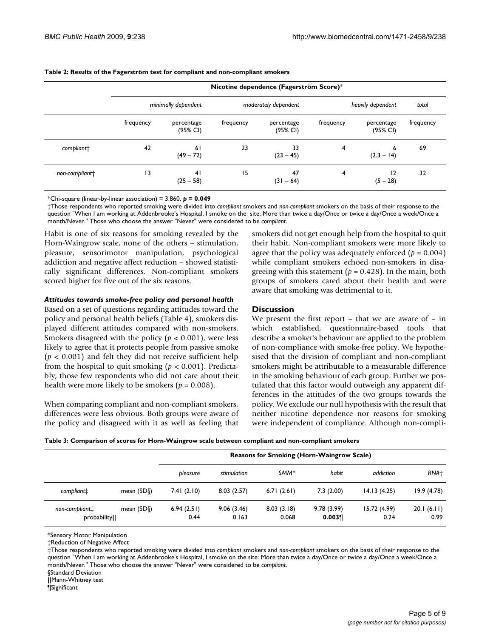|                        | Nicotine dependence (Fagerström Score)* |                        |           |                        |           |                        |           |
|------------------------|-----------------------------------------|------------------------|-----------|------------------------|-----------|------------------------|-----------|
|                        |                                         | minimally dependent    |           | moderately dependent   |           | heavily dependent      | total     |
|                        | frequency                               | percentage<br>(95% CI) | frequency | percentage<br>(95% CI) | frequency | percentage<br>(95% CI) | frequency |
| compliant <sup>+</sup> | 42                                      | 61<br>$(49 - 72)$      | 23        | 33<br>$(23 - 45)$      | 4         | 6<br>$(2.3 - 14)$      | 69        |
| non-compliant+         | 3                                       | 41<br>$(25 - 58)$      | 15        | 47<br>$(31 - 64)$      | 4         | 12<br>$(5 - 28)$       | 32        |

#### **Table 2: Results of the Fagerström test for compliant and non-compliant smokers**

\*Chi-square (linear-by-linear association) = 3.860, *p* **= 0.049**

†Those respondents who reported smoking were divided into *compliant* smokers and *non-compliant* smokers on the basis of their response to the question "When I am working at Addenbrooke's Hospital, I smoke on the site: More than twice a day/Once or twice a day/Once a week/Once a month/Never." Those who choose the answer "Never" were considered to be *compliant*.

Habit is one of six reasons for smoking revealed by the Horn-Waingrow scale, none of the others – stimulation, pleasure, sensorimotor manipulation, psychological addiction and negative affect reduction – showed statistically significant differences. Non-compliant smokers scored higher for five out of the six reasons.

# *Attitudes towards smoke-free policy and personal health*

Based on a set of questions regarding attitudes toward the policy and personal health beliefs (Table 4), smokers displayed different attitudes compared with non-smokers. Smokers disagreed with the policy (*p* < 0.001), were less likely to agree that it protects people from passive smoke (*p* < 0.001) and felt they did not receive sufficient help from the hospital to quit smoking ( $p < 0.001$ ). Predictably, those few respondents who did not care about their health were more likely to be smokers ( $p = 0.008$ ).

When comparing compliant and non-compliant smokers, differences were less obvious. Both groups were aware of the policy and disagreed with it as well as feeling that smokers did not get enough help from the hospital to quit their habit. Non-compliant smokers were more likely to agree that the policy was adequately enforced  $(p = 0.004)$ while compliant smokers echoed non-smokers in disagreeing with this statement ( $p = 0.428$ ). In the main, both groups of smokers cared about their health and were aware that smoking was detrimental to it.

# **Discussion**

We present the first report – that we are aware of – in which established, questionnaire-based tools that describe a smoker's behaviour are applied to the problem of non-compliance with smoke-free policy. We hypothesised that the division of compliant and non-compliant smokers might be attributable to a measurable difference in the smoking behaviour of each group. Further we postulated that this factor would outweigh any apparent differences in the attitudes of the two groups towards the policy. We exclude our null hypothesis with the result that neither nicotine dependence nor reasons for smoking were independent of compliance. Although non-compli-

| Table 3: Comparison of scores for Horn-Waingrow scale between compliant and non-compliant smokers |  |  |  |
|---------------------------------------------------------------------------------------------------|--|--|--|
|---------------------------------------------------------------------------------------------------|--|--|--|

|                               |                   | <b>Reasons for Smoking (Horn-Waingrow Scale)</b> |                     |                     |                     |                      |                    |
|-------------------------------|-------------------|--------------------------------------------------|---------------------|---------------------|---------------------|----------------------|--------------------|
|                               |                   | bleasure                                         | stimulation         | SMM <sup>*</sup>    | habit               | addiction            | RNA <sup>+</sup>   |
| compliant:                    | mean $(SD\delta)$ | 7.41(2.10)                                       | 8.03(2.57)          | 6.71(2.61)          | 7.3(2.00)           | 14.13(4.25)          | 19.9(4.78)         |
| non-compliant:<br>probability | mean $(SD\S)$     | 6.94(2.51)<br>0.44                               | 9.06(3.46)<br>0.163 | 8.03(3.18)<br>0.068 | 9.78(3.99)<br>0.003 | 15.72 (4.99)<br>0.24 | 20.1(6.11)<br>0.99 |

\*Sensory Motor Manipulation

†Reduction of Negative Affect

‡Those respondents who reported smoking were divided into *compliant* smokers and *non-compliant* smokers on the basis of their response to the question "When I am working at Addenbrooke's Hospital, I smoke on the site: More than twice a day/Once or twice a day/Once a week/Once a month/Never." Those who choose the answer "Never" were considered to be *compliant*.

§Standard Deviation

**||**Mann-Whitney test

¶Significant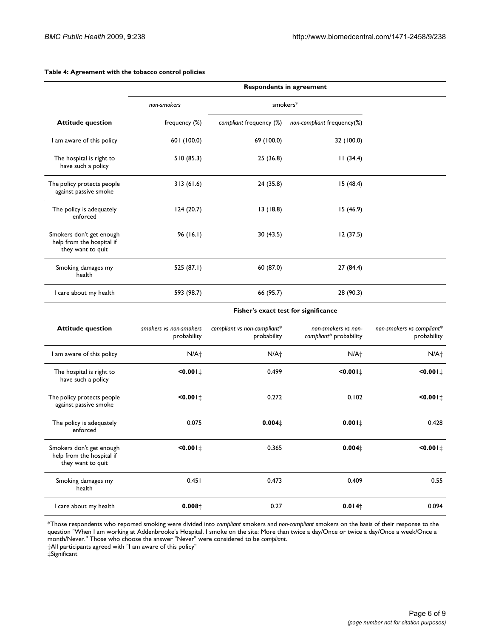|                                                                            | <b>Respondents in agreement</b> |                                                                                                                                                                                                                                |                            |  |  |  |
|----------------------------------------------------------------------------|---------------------------------|--------------------------------------------------------------------------------------------------------------------------------------------------------------------------------------------------------------------------------|----------------------------|--|--|--|
|                                                                            | non-smokers                     | smokers*                                                                                                                                                                                                                       |                            |  |  |  |
| <b>Attitude question</b>                                                   | frequency (%)                   | compliant frequency (%)                                                                                                                                                                                                        | non-compliant frequency(%) |  |  |  |
| I am aware of this policy                                                  | 601 (100.0)                     | 69 (100.0)                                                                                                                                                                                                                     | 32 (100.0)                 |  |  |  |
| The hospital is right to<br>have such a policy                             | 510 (85.3)                      | 25(36.8)                                                                                                                                                                                                                       | 11(34.4)                   |  |  |  |
| The policy protects people<br>against passive smoke                        | 313(61.6)                       | 24 (35.8)                                                                                                                                                                                                                      | 15(48.4)                   |  |  |  |
| The policy is adequately<br>enforced                                       | 124(20.7)                       | 13(18.8)                                                                                                                                                                                                                       | 15(46.9)                   |  |  |  |
| Smokers don't get enough<br>help from the hospital if<br>they want to quit | 96(16.1)                        | 30(43.5)                                                                                                                                                                                                                       | 12(37.5)                   |  |  |  |
| Smoking damages my<br>health                                               | 525 (87.1)                      | 60 (87.0)                                                                                                                                                                                                                      | 27(84.4)                   |  |  |  |
| I care about my health                                                     | 593 (98.7)                      | 66 (95.7)                                                                                                                                                                                                                      | 28 (90.3)                  |  |  |  |
|                                                                            |                                 | Etable esta la considerazione dall'estate di montre il considerazione della considerazione di un sulla considerazione di un sulla considerazione di un sulla considerazione di un sulla considerazione di un sulla considerazi |                            |  |  |  |

#### **Table 4: Agreement with the tobacco control policies**

**Fisher's exact test for significance**

| <b>Attitude question</b>                                                   | smokers vs non-smokers<br>probability | compliant vs non-compliant*<br>probability | non-smokers vs non-<br>compliant* probability | non-smokers vs compliant*<br>probability |
|----------------------------------------------------------------------------|---------------------------------------|--------------------------------------------|-----------------------------------------------|------------------------------------------|
| I am aware of this policy                                                  | N/A <sub>1</sub>                      | N/A <sub>1</sub>                           | N/A <sup>+</sup>                              | N/A <sub>1</sub>                         |
| The hospital is right to<br>have such a policy                             | $10.001 \pm$                          | 0.499                                      | $50.001 \pm$                                  | $50.001 \pm$                             |
| The policy protects people<br>against passive smoke                        | $10.001 \pm$                          | 0.272                                      | 0.102                                         | $50.001 \pm$                             |
| The policy is adequately<br>enforced                                       | 0.075                                 | $0.004 \pm$                                | $0.001 \pm$                                   | 0.428                                    |
| Smokers don't get enough<br>help from the hospital if<br>they want to quit | $10.001 \pm$                          | 0.365                                      | $0.004 \pm$                                   | $50.001 \pm$                             |
| Smoking damages my<br>health                                               | 0.451                                 | 0.473                                      | 0.409                                         | 0.55                                     |
| I care about my health                                                     | 0.008 <sub>‡</sub>                    | 0.27                                       | 0.014 <sub>‡</sub>                            | 0.094                                    |

\*Those respondents who reported smoking were divided into *compliant* smokers and *non-compliant* smokers on the basis of their response to the question "When I am working at Addenbrooke's Hospital, I smoke on the site: More than twice a day/Once or twice a day/Once a week/Once a month/Never." Those who choose the answer "Never" were considered to be *compliant*.

†All participants agreed with "I am aware of this policy"

‡Significant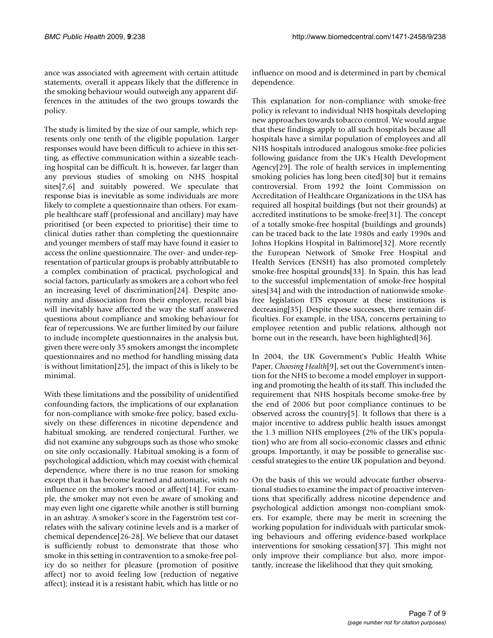ance was associated with agreement with certain attitude statements, overall it appears likely that the difference in the smoking behaviour would outweigh any apparent differences in the attitudes of the two groups towards the policy.

The study is limited by the size of our sample, which represents only one tenth of the eligible population. Larger responses would have been difficult to achieve in this setting, as effective communication within a sizeable teaching hospital can be difficult. It is, however, far larger than any previous studies of smoking on NHS hospital sites[7,6] and suitably powered. We speculate that response bias is inevitable as some individuals are more likely to complete a questionnaire than others. For example healthcare staff (professional and ancillary) may have prioritised (or been expected to prioritise) their time to clinical duties rather than completing the questionnaire and younger members of staff may have found it easier to access the online questionnaire. The over- and under-representation of particular groups is probably attributable to a complex combination of practical, psychological and social factors, particularly as smokers are a cohort who feel an increasing level of discrimination[24]. Despite anonymity and dissociation from their employer, recall bias will inevitably have affected the way the staff answered questions about compliance and smoking behaviour for fear of repercussions. We are further limited by our failure to include incomplete questionnaires in the analysis but, given there were only 35 smokers amongst the incomplete questionnaires and no method for handling missing data is without limitation[25], the impact of this is likely to be minimal.

With these limitations and the possibility of unidentified confounding factors, the implications of our explanation for non-compliance with smoke-free policy, based exclusively on these differences in nicotine dependence and habitual smoking, are rendered conjectural. Further, we did not examine any subgroups such as those who smoke on site only occasionally. Habitual smoking is a form of psychological addiction, which may coexist with chemical dependence, where there is no true reason for smoking except that it has become learned and automatic, with no influence on the smoker's mood or affect[14]. For example, the smoker may not even be aware of smoking and may even light one cigarette while another is still burning in an ashtray. A smoker's score in the Fagerström test correlates with the salivary cotinine levels and is a marker of chemical dependence[26-28]. We believe that our dataset is sufficiently robust to demonstrate that those who smoke in this setting in contravention to a smoke-free policy do so neither for pleasure (promotion of positive affect) nor to avoid feeling low (reduction of negative affect); instead it is a resistant habit, which has little or no

influence on mood and is determined in part by chemical dependence.

This explanation for non-compliance with smoke-free policy is relevant to individual NHS hospitals developing new approaches towards tobacco control. We would argue that these findings apply to all such hospitals because all hospitals have a similar population of employees and all NHS hospitals introduced analogous smoke-free policies following guidance from the UK's Health Development Agency[29]. The role of health services in implementing smoking policies has long been cited[30] but it remains controversial. From 1992 the Joint Commission on Accreditation of Healthcare Organizations in the USA has required all hospital buildings (but not their grounds) at accredited institutions to be smoke-free[31]. The concept of a totally smoke-free hospital (buildings and grounds) can be traced back to the late 1980s and early 1990s and Johns Hopkins Hospital in Baltimore[32]. More recently the European Network of Smoke Free Hospital and Health Services (ENSH) has also promoted completely smoke-free hospital grounds[33]. In Spain, this has lead to the successful implementation of smoke-free hospital sites[34] and with the introduction of nationwide smokefree legislation ETS exposure at these institutions is decreasing[35]. Despite these successes, there remain difficulties. For example, in the USA, concerns pertaining to employee retention and public relations, although not borne out in the research, have been highlighted[36].

In 2004, the UK Government's Public Health White Paper, *Choosing Health*[9], set out the Government's intention for the NHS to become a model employer in supporting and promoting the health of its staff. This included the requirement that NHS hospitals become smoke-free by the end of 2006 but poor compliance continues to be observed across the country[5]. It follows that there is a major incentive to address public health issues amongst the 1.3 million NHS employees (2% of the UK's population) who are from all socio-economic classes and ethnic groups. Importantly, it may be possible to generalise successful strategies to the entire UK population and beyond.

On the basis of this we would advocate further observational studies to examine the impact of proactive interventions that specifically address nicotine dependence and psychological addiction amongst non-compliant smokers. For example, there may be merit in screening the working population for individuals with particular smoking behaviours and offering evidence-based workplace interventions for smoking cessation[37]. This might not only improve their compliance but also, more importantly, increase the likelihood that they quit smoking.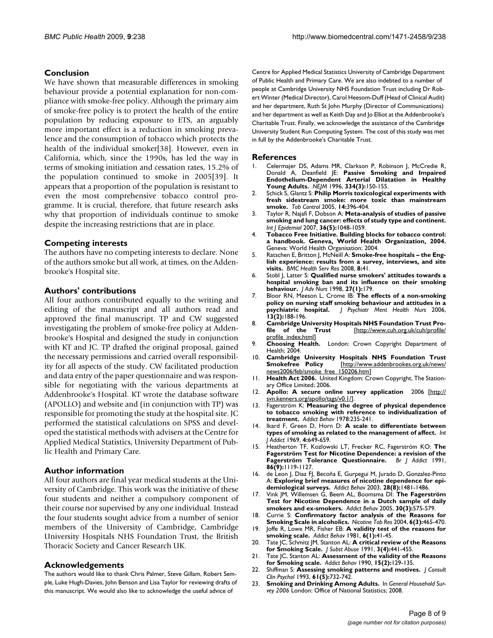# **Conclusion**

We have shown that measurable differences in smoking behaviour provide a potential explanation for non-compliance with smoke-free policy. Although the primary aim of smoke-free policy is to protect the health of the entire population by reducing exposure to ETS, an arguably more important effect is a reduction in smoking prevalence and the consumption of tobacco which protects the health of the individual smoker[38]. However, even in California, which, since the 1990s, has led the way in terms of smoking initiation and cessation rates, 15.2% of the population continued to smoke in 2005[39]. It appears that a proportion of the population is resistant to even the most comprehensive tobacco control programme. It is crucial, therefore, that future research asks why that proportion of individuals continue to smoke despite the increasing restrictions that are in place.

# **Competing interests**

The authors have no competing interests to declare. None of the authors smoke but all work, at times, on the Addenbrooke's Hospital site.

# **Authors' contributions**

All four authors contributed equally to the writing and editing of the manuscript and all authors read and approved the final manuscript. TP and CW suggested investigating the problem of smoke-free policy at Addenbrooke's Hospital and designed the study in conjunction with KT and JC. TP drafted the original proposal, gained the necessary permissions and carried overall responsibility for all aspects of the study. CW facilitated production and data entry of the paper questionnaire and was responsible for negotiating with the various departments at Addenbrooke's Hospital. KT wrote the database software (APOLLO) and website and (in conjunction with TP) was responsible for promoting the study at the hospital site. JC performed the statistical calculations on SPSS and developed the statistical methods with advisers at the Centre for Applied Medical Statistics, University Department of Public Health and Primary Care.

# **Author information**

All four authors are final year medical students at the University of Cambridge. This work was the initiative of these four students and neither a compulsory component of their course nor supervised by any one individual. Instead the four students sought advice from a number of senior members of the University of Cambridge, Cambridge University Hospitals NHS Foundation Trust, the British Thoracic Society and Cancer Research UK.

# **Acknowledgements**

The authors would like to thank Chris Palmer, Steve Gillam, Robert Semple, Luke Hugh-Davies, John Benson and Lisa Taylor for reviewing drafts of this manuscript. We would also like to acknowledge the useful advice of

Centre for Applied Medical Statistics University of Cambridge Department of Public Health and Primary Care. We are also indebted to a number of people at Cambridge University NHS Foundation Trust including Dr Robert Winter (Medical Director), Carol Heesom-Duff (Head of Clinical Audit) and her department, Ruth St John Murphy (Director of Communications) and her department as well as Keith Day and Jo Elliot at the Addenbrooke's Charitable Trust. Finally, we acknowledge the assistance of the Cambridge University Student Run Computing System. The cost of this study was met in full by the Addenbrooke's Charitable Trust.

#### **References**

- 1. Celermajer DS, Adams MR, Clarkson P, Robinson J, McCredie R, Donald A, Deanfield JE: **[Passive Smoking and Impaired](http://www.ncbi.nlm.nih.gov/entrez/query.fcgi?cmd=Retrieve&db=PubMed&dopt=Abstract&list_uids=8531969) [Endothelium-Dependent Arterial Dilatation in Healthy](http://www.ncbi.nlm.nih.gov/entrez/query.fcgi?cmd=Retrieve&db=PubMed&dopt=Abstract&list_uids=8531969) [Young Adults.](http://www.ncbi.nlm.nih.gov/entrez/query.fcgi?cmd=Retrieve&db=PubMed&dopt=Abstract&list_uids=8531969)** *NEJM* 1996, **334(3):**150-155.
- 2. Schick S, Glantz S: **[Philip Morris toxicological experiments with](http://www.ncbi.nlm.nih.gov/entrez/query.fcgi?cmd=Retrieve&db=PubMed&dopt=Abstract&list_uids=16319363) [fresh sidestream smoke: more toxic than mainstream](http://www.ncbi.nlm.nih.gov/entrez/query.fcgi?cmd=Retrieve&db=PubMed&dopt=Abstract&list_uids=16319363) [smoke.](http://www.ncbi.nlm.nih.gov/entrez/query.fcgi?cmd=Retrieve&db=PubMed&dopt=Abstract&list_uids=16319363)** *Tob Control* 2005, **14:**396-404.
- 3. Taylor R, Najafi F, Dobson A: **[Meta-analysis of studies of passive](http://www.ncbi.nlm.nih.gov/entrez/query.fcgi?cmd=Retrieve&db=PubMed&dopt=Abstract&list_uids=17690135) [smoking and lung cancer: effects of study type and continent.](http://www.ncbi.nlm.nih.gov/entrez/query.fcgi?cmd=Retrieve&db=PubMed&dopt=Abstract&list_uids=17690135)** *Int J Epidemiol* 2007, **36(5):**1048-1059.
- 4. **Tobacco Free Initiative. Building blocks for tobacco control: a handbook. Geneva, World Health Organization, 2004.** Geneva: World Health Organisation; 2004.
- 5. Ratschen E, Britton J, McNeill A: **[Smoke-free hospitals the Eng](http://www.ncbi.nlm.nih.gov/entrez/query.fcgi?cmd=Retrieve&db=PubMed&dopt=Abstract&list_uids=18282278)[lish experience: results from a survey, interviews, and site](http://www.ncbi.nlm.nih.gov/entrez/query.fcgi?cmd=Retrieve&db=PubMed&dopt=Abstract&list_uids=18282278) [visits.](http://www.ncbi.nlm.nih.gov/entrez/query.fcgi?cmd=Retrieve&db=PubMed&dopt=Abstract&list_uids=18282278)** *BMC Health Serv Res* 2008, **8:**41.
- 6. Stobl J, Latter S: **[Qualified nurse smokers' attitudes towards a](http://www.ncbi.nlm.nih.gov/entrez/query.fcgi?cmd=Retrieve&db=PubMed&dopt=Abstract&list_uids=9515623) [hospital smoking ban and its influence on their smoking](http://www.ncbi.nlm.nih.gov/entrez/query.fcgi?cmd=Retrieve&db=PubMed&dopt=Abstract&list_uids=9515623) [behaviour.](http://www.ncbi.nlm.nih.gov/entrez/query.fcgi?cmd=Retrieve&db=PubMed&dopt=Abstract&list_uids=9515623)** *J Adv Nurs* 1998, **27(1):**179.
- 7. Bloor RN, Meeson L, Crome IB: **[The effects of a non-smoking](http://www.ncbi.nlm.nih.gov/entrez/query.fcgi?cmd=Retrieve&db=PubMed&dopt=Abstract&list_uids=16608474) [policy on nursing staff smoking behaviour and attitudes in a](http://www.ncbi.nlm.nih.gov/entrez/query.fcgi?cmd=Retrieve&db=PubMed&dopt=Abstract&list_uids=16608474) [psychiatric hospital.](http://www.ncbi.nlm.nih.gov/entrez/query.fcgi?cmd=Retrieve&db=PubMed&dopt=Abstract&list_uids=16608474)** *J Psychiatr Ment Health Nurs* 2006, **psychiatric hospital.**<br>13(2):188-196.
- 8. **Cambridge University Hospitals NHS Foundation Trust Pro-<br>
<b>file** of the Trust **Intto://www.cuh.org.uk/cuh/profile/** [[http://www.cuh.org.uk/cuh/profile/](http://www.cuh.org.uk/cuh/profile/profile_index.html) [profile\\_index.html](http://www.cuh.org.uk/cuh/profile/profile_index.html)]
- 9. **Choosing Health.** London: Crown Copyright Department of Health; 2004.
- 10. **Cambridge University Hospitals NHS Foundation Trust Smokefree Policy** [[http://www.addenbrookes.org.uk/news/](http://www.addenbrookes.org.uk/news/news2006/feb/smoke_free_150206.htm) news2006/feb/smoke\_free
- 11. **Health Act 2006.** United Kingdom: Crown Copyright, The Stationary Office Limited; 2006.
- 12. **Apollo: A secure online survey application** 2006 [\[http://](http://svn.kenners.org/apollo/tags/v0.1/) [svn.kenners.org/apollo/tags/v0.1/](http://svn.kenners.org/apollo/tags/v0.1/)].
- 13. Fagerström K: **[Measuring the degree of physical dependence](http://www.ncbi.nlm.nih.gov/entrez/query.fcgi?cmd=Retrieve&db=PubMed&dopt=Abstract&list_uids=735910) [to tobacco smoking with reference to individualization of](http://www.ncbi.nlm.nih.gov/entrez/query.fcgi?cmd=Retrieve&db=PubMed&dopt=Abstract&list_uids=735910) [treatment.](http://www.ncbi.nlm.nih.gov/entrez/query.fcgi?cmd=Retrieve&db=PubMed&dopt=Abstract&list_uids=735910)** *Addict Behav* 1978:235-241.
- 14. Ikard F, Green D, Horn D: **A scale to differentiate between types of smoking as related to the management of affect.** *Int J Addict* 1969, **4:**649-659.
- 15. Heatherton TF, Kozlowski LT, Frecker RC, Fagerström KO: **[The](http://www.ncbi.nlm.nih.gov/entrez/query.fcgi?cmd=Retrieve&db=PubMed&dopt=Abstract&list_uids=1932883) [Fagerström Test for Nicotine Dependence: a revision of the](http://www.ncbi.nlm.nih.gov/entrez/query.fcgi?cmd=Retrieve&db=PubMed&dopt=Abstract&list_uids=1932883) [Fagerström Tolerance Questionnaire.](http://www.ncbi.nlm.nih.gov/entrez/query.fcgi?cmd=Retrieve&db=PubMed&dopt=Abstract&list_uids=1932883)** *Br J Addict* 1991, **86(9):**1119-1127.
- 16. de Leon J, Diaz FJ, Becoña E, Gurpegui M, Jurado D, Gonzalez-Pinto A: **[Exploring brief measures of nicotine dependence for epi](http://www.ncbi.nlm.nih.gov/entrez/query.fcgi?cmd=Retrieve&db=PubMed&dopt=Abstract&list_uids=14512071)[demiological surveys.](http://www.ncbi.nlm.nih.gov/entrez/query.fcgi?cmd=Retrieve&db=PubMed&dopt=Abstract&list_uids=14512071)** *Addict Behav* 2003, **28(8):**1481-1486.
- 17. Vink JM, Willemsen G, Beem AL, Boomsma DI: **[The Fagerström](http://www.ncbi.nlm.nih.gov/entrez/query.fcgi?cmd=Retrieve&db=PubMed&dopt=Abstract&list_uids=15718074) [Test for Nicotine Dependence in a Dutch sample of daily](http://www.ncbi.nlm.nih.gov/entrez/query.fcgi?cmd=Retrieve&db=PubMed&dopt=Abstract&list_uids=15718074) [smokers and ex-smokers.](http://www.ncbi.nlm.nih.gov/entrez/query.fcgi?cmd=Retrieve&db=PubMed&dopt=Abstract&list_uids=15718074)** *Addict Behav* 2005, **30(3):**575-579.
- 18. Currie S: **[Confirmatory factor analysis of the Reasons for](http://www.ncbi.nlm.nih.gov/entrez/query.fcgi?cmd=Retrieve&db=PubMed&dopt=Abstract&list_uids=15203780) [Smoking Scale in alcoholics.](http://www.ncbi.nlm.nih.gov/entrez/query.fcgi?cmd=Retrieve&db=PubMed&dopt=Abstract&list_uids=15203780)** *Nicotine Tob Res* 2004, **6(3):**465-470.
- 19. Joffe R, Lowe MR, Fisher EB: **[A validity test of the reasons for](http://www.ncbi.nlm.nih.gov/entrez/query.fcgi?cmd=Retrieve&db=PubMed&dopt=Abstract&list_uids=7257915) [smoking scale.](http://www.ncbi.nlm.nih.gov/entrez/query.fcgi?cmd=Retrieve&db=PubMed&dopt=Abstract&list_uids=7257915)** *Addict Behav* 1981, **6(1):**41-45.
- 20. Tate JC, Schmitz JM, Stanton AL: **[A critical review of the Reasons](http://www.ncbi.nlm.nih.gov/entrez/query.fcgi?cmd=Retrieve&db=PubMed&dopt=Abstract&list_uids=1821297) [for Smoking Scale.](http://www.ncbi.nlm.nih.gov/entrez/query.fcgi?cmd=Retrieve&db=PubMed&dopt=Abstract&list_uids=1821297)** *J Subst Abuse* 1991, **3(4):**441-455.
- 21. Tate JC, Stanton AL: **[Assessment of the validity of the Reasons](http://www.ncbi.nlm.nih.gov/entrez/query.fcgi?cmd=Retrieve&db=PubMed&dopt=Abstract&list_uids=2343786) [for Smoking scale.](http://www.ncbi.nlm.nih.gov/entrez/query.fcgi?cmd=Retrieve&db=PubMed&dopt=Abstract&list_uids=2343786)** *Addict Behav* 1990, **15(2):**129-135.
- 22. Shiffman S: **[Assessing smoking patterns and motives.](http://www.ncbi.nlm.nih.gov/entrez/query.fcgi?cmd=Retrieve&db=PubMed&dopt=Abstract&list_uids=8245271)** *J Consult Clin Psychol* 1993, **61(5):**732-742.
- 23. **Smoking and Drinking Among Adults.** In *General Household Survey 2006* London: Office of National Statistics; 2008.